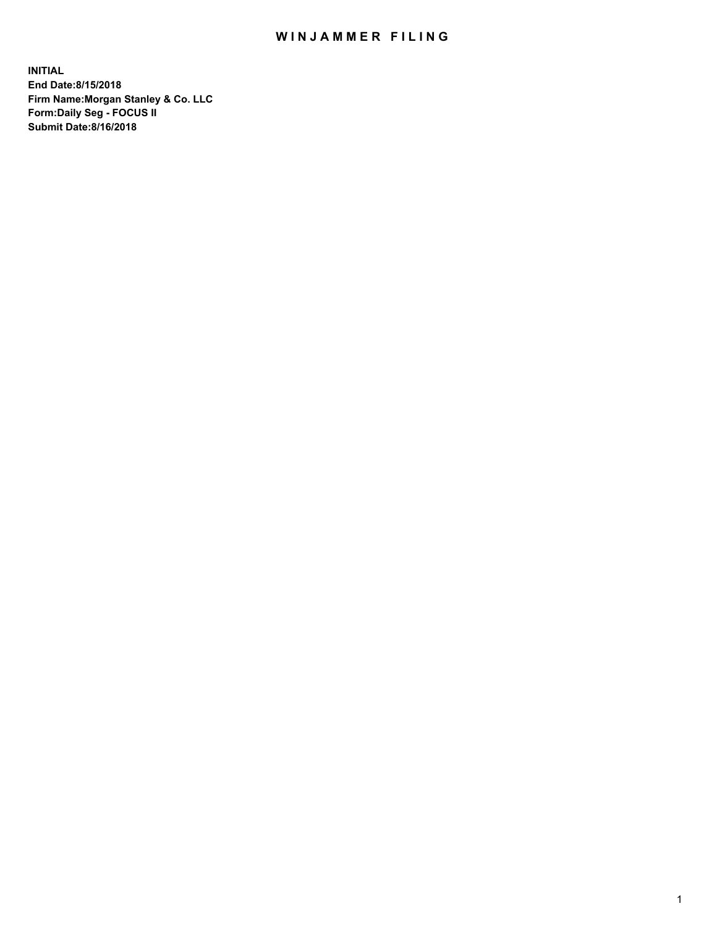## WIN JAMMER FILING

**INITIAL End Date:8/15/2018 Firm Name:Morgan Stanley & Co. LLC Form:Daily Seg - FOCUS II Submit Date:8/16/2018**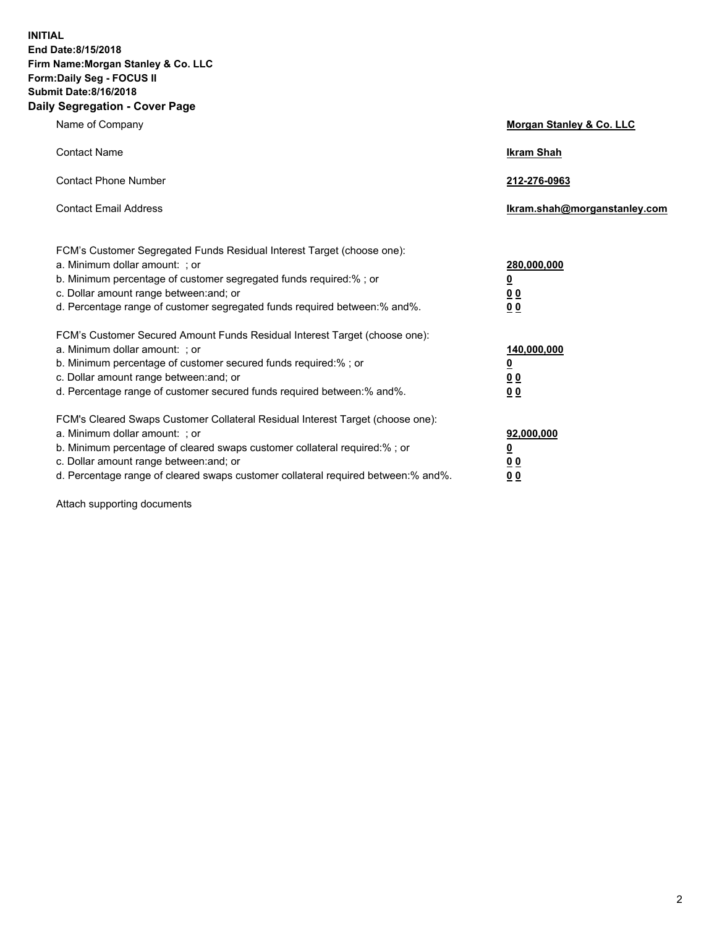**INITIAL End Date:8/15/2018 Firm Name:Morgan Stanley & Co. LLC Form:Daily Seg - FOCUS II Submit Date:8/16/2018 Daily Segregation - Cover Page**

| Name of Company                                                                                                                                                                                                                                                                                                                | Morgan Stanley & Co. LLC                               |
|--------------------------------------------------------------------------------------------------------------------------------------------------------------------------------------------------------------------------------------------------------------------------------------------------------------------------------|--------------------------------------------------------|
| <b>Contact Name</b>                                                                                                                                                                                                                                                                                                            | <b>Ikram Shah</b>                                      |
| <b>Contact Phone Number</b>                                                                                                                                                                                                                                                                                                    | 212-276-0963                                           |
| <b>Contact Email Address</b>                                                                                                                                                                                                                                                                                                   | lkram.shah@morganstanley.com                           |
| FCM's Customer Segregated Funds Residual Interest Target (choose one):<br>a. Minimum dollar amount: ; or<br>b. Minimum percentage of customer segregated funds required:% ; or<br>c. Dollar amount range between: and; or<br>d. Percentage range of customer segregated funds required between:% and%.                         | 280,000,000<br><u>0</u><br><u>0 0</u><br>0 Q           |
| FCM's Customer Secured Amount Funds Residual Interest Target (choose one):<br>a. Minimum dollar amount: ; or<br>b. Minimum percentage of customer secured funds required:%; or<br>c. Dollar amount range between: and; or<br>d. Percentage range of customer secured funds required between:% and%.                            | 140,000,000<br><u>0</u><br><u>00</u><br>0 <sub>0</sub> |
| FCM's Cleared Swaps Customer Collateral Residual Interest Target (choose one):<br>a. Minimum dollar amount: ; or<br>b. Minimum percentage of cleared swaps customer collateral required:% ; or<br>c. Dollar amount range between: and; or<br>d. Percentage range of cleared swaps customer collateral required between:% and%. | 92,000,000<br><u>0</u><br><u>00</u><br>0 <sup>0</sup>  |

Attach supporting documents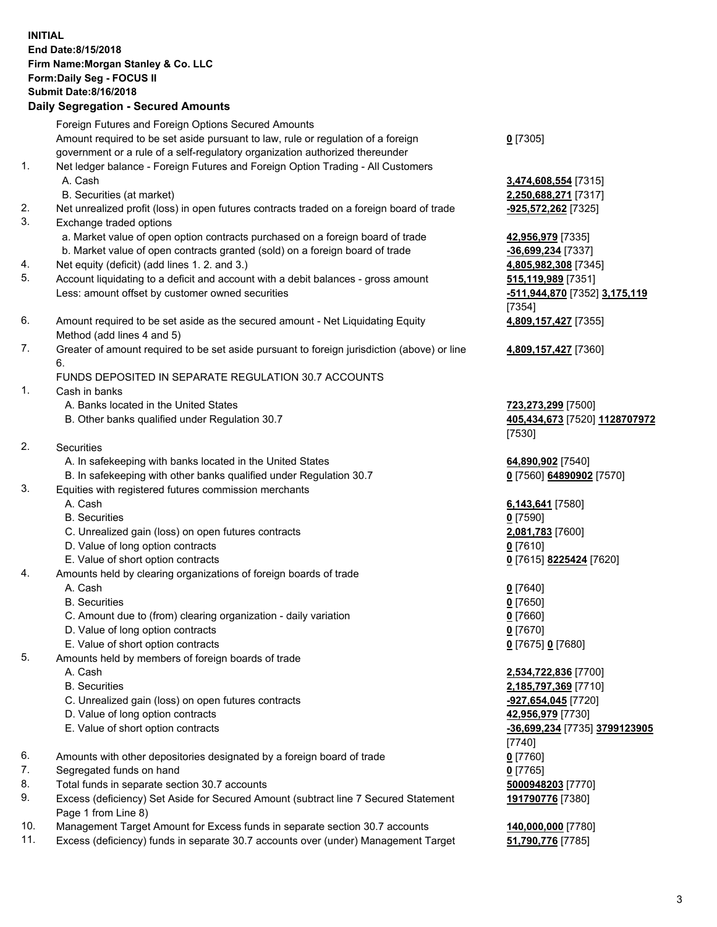## **INITIAL End Date:8/15/2018 Firm Name:Morgan Stanley & Co. LLC Form:Daily Seg - FOCUS II Submit Date:8/16/2018 Daily Segregation - Secured Amounts** Foreign Futures and Foreign Options Secured Amounts Amount required to be set aside pursuant to law, rule or regulation of a foreign government or a rule of a self-regulatory organization authorized thereunder 1. Net ledger balance - Foreign Futures and Foreign Option Trading - All Customers A. Cash **3,474,608,554** [7315] B. Securities (at market) **2,250,688,271** [7317] 2. Net unrealized profit (loss) in open futures contracts traded on a foreign board of trade **-925,572,262** [7325] 3. Exchange traded options a. Market value of open option contracts purchased on a foreign board of trade **42,956,979** [7335] b. Market value of open contracts granted (sold) on a foreign board of trade **-36,699,234** [7337] 4. Net equity (deficit) (add lines 1. 2. and 3.) **4,805,982,308** [7345]

- 5. Account liquidating to a deficit and account with a debit balances gross amount **515,119,989** [7351] Less: amount offset by customer owned securities **and the securities -511,944,870** [7352] **3,175,119**
- 6. Amount required to be set aside as the secured amount Net Liquidating Equity Method (add lines 4 and 5)
- 7. Greater of amount required to be set aside pursuant to foreign jurisdiction (above) or line 6.

## FUNDS DEPOSITED IN SEPARATE REGULATION 30.7 ACCOUNTS

- 1. Cash in banks
	- A. Banks located in the United States **723,273,299** [7500]
	- B. Other banks qualified under Regulation 30.7 **405,434,673** [7520] **1128707972**
- 2. Securities
	- A. In safekeeping with banks located in the United States **64,890,902** [7540]
	- B. In safekeeping with other banks qualified under Regulation 30.7 **0** [7560] **64890902** [7570]
- 3. Equities with registered futures commission merchants
	-
	- B. Securities **0** [7590]
	- C. Unrealized gain (loss) on open futures contracts **2,081,783** [7600]
	- D. Value of long option contracts **0** [7610]
- E. Value of short option contracts **0** [7615] **8225424** [7620]
- 4. Amounts held by clearing organizations of foreign boards of trade
	- A. Cash **0** [7640]
	- B. Securities **0** [7650]
	- C. Amount due to (from) clearing organization daily variation **0** [7660]
	- D. Value of long option contracts **0** [7670]
	- E. Value of short option contracts **0** [7675] **0** [7680]
- 5. Amounts held by members of foreign boards of trade
	-
	-
	- C. Unrealized gain (loss) on open futures contracts **-927,654,045** [7720]
	- D. Value of long option contracts **42,956,979** [7730]
	- E. Value of short option contracts **-36,699,234** [7735] **3799123905**
- 6. Amounts with other depositories designated by a foreign board of trade **0** [7760]
- 7. Segregated funds on hand **0** [7765]
- 8. Total funds in separate section 30.7 accounts **5000948203** [7770]
- 9. Excess (deficiency) Set Aside for Secured Amount (subtract line 7 Secured Statement Page 1 from Line 8)
- 10. Management Target Amount for Excess funds in separate section 30.7 accounts **140,000,000** [7780]
- 11. Excess (deficiency) funds in separate 30.7 accounts over (under) Management Target **51,790,776** [7785]

**0** [7305]

[7354] **4,809,157,427** [7355]

**4,809,157,427** [7360]

[7530]

A. Cash **6,143,641** [7580]

 A. Cash **2,534,722,836** [7700] B. Securities **2,185,797,369** [7710] [7740] **191790776** [7380]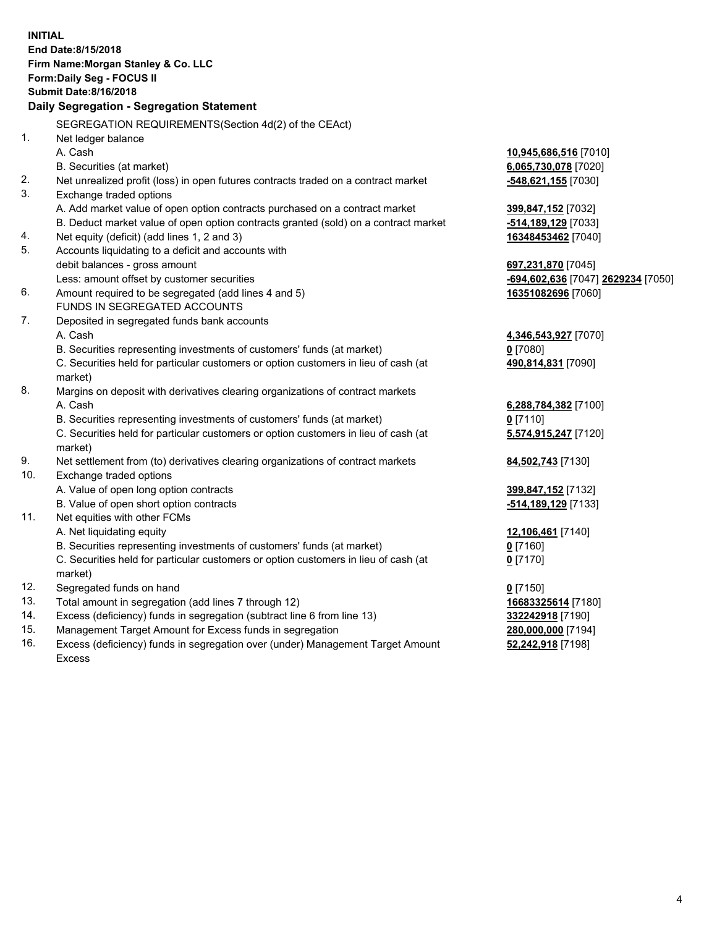|     | <b>INITIAL</b><br>End Date:8/15/2018<br>Firm Name: Morgan Stanley & Co. LLC<br>Form: Daily Seg - FOCUS II<br><b>Submit Date: 8/16/2018</b><br>Daily Segregation - Segregation Statement |                                    |
|-----|-----------------------------------------------------------------------------------------------------------------------------------------------------------------------------------------|------------------------------------|
|     | SEGREGATION REQUIREMENTS(Section 4d(2) of the CEAct)                                                                                                                                    |                                    |
| 1.  | Net ledger balance                                                                                                                                                                      |                                    |
|     | A. Cash                                                                                                                                                                                 | 10,945,686,516 [7010]              |
|     | B. Securities (at market)                                                                                                                                                               | 6,065,730,078 [7020]               |
| 2.  | Net unrealized profit (loss) in open futures contracts traded on a contract market                                                                                                      | -548,621,155 [7030]                |
| 3.  | Exchange traded options                                                                                                                                                                 |                                    |
|     | A. Add market value of open option contracts purchased on a contract market                                                                                                             | 399,847,152 [7032]                 |
|     | B. Deduct market value of open option contracts granted (sold) on a contract market                                                                                                     | -514,189,129 [7033]                |
| 4.  | Net equity (deficit) (add lines 1, 2 and 3)                                                                                                                                             | 16348453462 [7040]                 |
| 5.  | Accounts liquidating to a deficit and accounts with                                                                                                                                     |                                    |
|     | debit balances - gross amount                                                                                                                                                           | 697,231,870 [7045]                 |
|     | Less: amount offset by customer securities                                                                                                                                              | -694,602,636 [7047] 2629234 [7050] |
| 6.  | Amount required to be segregated (add lines 4 and 5)                                                                                                                                    | 16351082696 [7060]                 |
|     | FUNDS IN SEGREGATED ACCOUNTS                                                                                                                                                            |                                    |
| 7.  | Deposited in segregated funds bank accounts                                                                                                                                             |                                    |
|     | A. Cash                                                                                                                                                                                 | 4,346,543,927 [7070]               |
|     | B. Securities representing investments of customers' funds (at market)                                                                                                                  | $0$ [7080]                         |
|     | C. Securities held for particular customers or option customers in lieu of cash (at                                                                                                     | 490,814,831 [7090]                 |
|     | market)                                                                                                                                                                                 |                                    |
| 8.  | Margins on deposit with derivatives clearing organizations of contract markets                                                                                                          |                                    |
|     | A. Cash                                                                                                                                                                                 | 6,288,784,382 [7100]               |
|     | B. Securities representing investments of customers' funds (at market)                                                                                                                  | $0$ [7110]                         |
|     | C. Securities held for particular customers or option customers in lieu of cash (at<br>market)                                                                                          | 5,574,915,247 [7120]               |
| 9.  | Net settlement from (to) derivatives clearing organizations of contract markets                                                                                                         | 84,502,743 [7130]                  |
| 10. | Exchange traded options                                                                                                                                                                 |                                    |
|     | A. Value of open long option contracts                                                                                                                                                  | 399,847,152 [7132]                 |
|     | B. Value of open short option contracts                                                                                                                                                 | -514,189,129 [7133]                |
| 11. | Net equities with other FCMs                                                                                                                                                            |                                    |
|     | A. Net liquidating equity                                                                                                                                                               | 12,106,461 [7140]                  |
|     | B. Securities representing investments of customers' funds (at market)                                                                                                                  | 0 [7160]                           |
|     | C. Securities held for particular customers or option customers in lieu of cash (at<br>market)                                                                                          | $0$ [7170]                         |
| 12. | Segregated funds on hand                                                                                                                                                                | $0$ [7150]                         |
| 13. | Total amount in segregation (add lines 7 through 12)                                                                                                                                    | 16683325614 [7180]                 |
| 14. | Excess (deficiency) funds in segregation (subtract line 6 from line 13)                                                                                                                 | 332242918 [7190]                   |
| 15. | Management Target Amount for Excess funds in segregation                                                                                                                                | 280,000,000 [7194]                 |
| 16. | Excess (deficiency) funds in segregation over (under) Management Target Amount                                                                                                          | 52,242,918 [7198]                  |

16. Excess (deficiency) funds in segregation over (under) Management Target Amount Excess